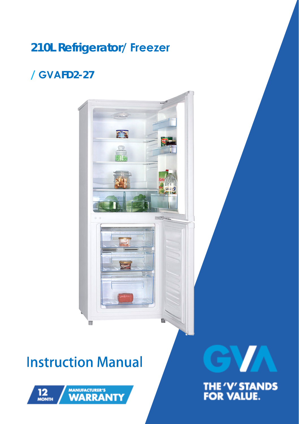### **210L Refrigerator/ Freezer**

### **/ GVAFD2-27**



## **Instruction Manual**





THE 'V' STANDS<br>FOR VALUE.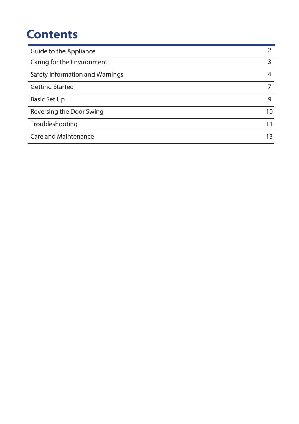### **Contents**

| Guide to the Appliance          |    |
|---------------------------------|----|
| Caring for the Environment      | 3  |
| Safety Information and Warnings | 4  |
| <b>Getting Started</b>          |    |
| Basic Set Up                    | 9  |
| Reversing the Door Swing        | 10 |
| Troubleshooting                 | 11 |
| <b>Care and Maintenance</b>     | 13 |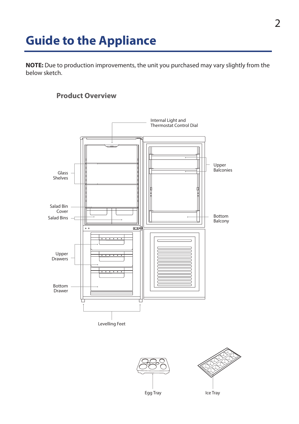### **Guide to the Appliance**

**NOTE:** Due to production improvements, the unit you purchased may vary slightly from the below sketch.

### **Product Overview**







Egg Tray **Ice Tray**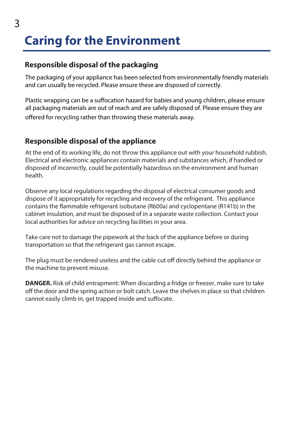# **Caring for the Environment**

### **Responsible disposal of the packaging**

The packaging of your appliance has been selected from environmentally friendly materials and can usually be recycled. Please ensure these are disposed of correctly.

Plastic wrapping can be a suffocation hazard for babies and young children, please ensure all packaging materials are out of reach and are safely disposed of. Please ensure they are offered for recycling rather than throwing these materials away.

### **Responsible disposal of the appliance**

At the end of its working life, do not throw this appliance out with your household rubbish. Electrical and electronic appliances contain materials and substances which, if handled or disposed of incorrectly, could be potentially hazardous on the environment and human health.

Observe any local regulations regarding the disposal of electrical consumer goods and dispose of it appropriately for recycling and recovery of the refrigerant. This appliance contains the flammable refrigerant isobutane (R600a) and cyclopentane (R141b) in the cabinet insulation, and must be disposed of in a separate waste collection. Contact your local authorities for advice on recycling facilities in your area.

Take care not to damage the pipework at the back of the appliance before or during transportation so that the refrigerant gas cannot escape.

The plug must be rendered useless and the cable cut off directly behind the appliance or the machine to prevent misuse.

**DANGER.** Risk of child entrapment: When discarding a fridge or freezer, make sure to take off the door and the spring action or bolt catch. Leave the shelves in place so that children cannot easily climb in, get trapped inside and suffocate.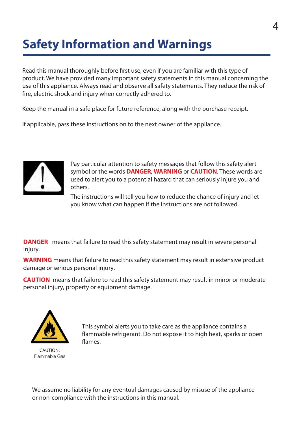### **Safety Information and Warnings**

Read this manual thoroughly before first use, even if you are familiar with this type of product. We have provided many important safety statements in this manual concerning the use of this appliance. Always read and observe all safety statements. They reduce the risk of fire, electric shock and injury when correctly adhered to.

Keep the manual in a safe place for future reference, along with the purchase receipt.

If applicable, pass these instructions on to the next owner of the appliance.



 Pay particular attention to safety messages that follow this safety alert symbol or the words **DANGER**, **WARNING** or **CAUTION**. These words are used to alert you to a potential hazard that can seriously injure you and others.

The instructions will tell you how to reduce the chance of injury and let you know what can happen if the instructions are not followed.

**DANGER** means that failure to read this safety statement may result in severe personal injury.

**WARNING** means that failure to read this safety statement may result in extensive product damage or serious personal injury.

**CAUTION** means that failure to read this safety statement may result in minor or moderate personal injury, property or equipment damage.



This symbol alerts you to take care as the appliance contains a flammable refrigerant. Do not expose it to high heat, sparks or open flames.

CAUTION: Flammable Gas

We assume no liability for any eventual damages caused by misuse of the appliance or non-compliance with the instructions in this manual.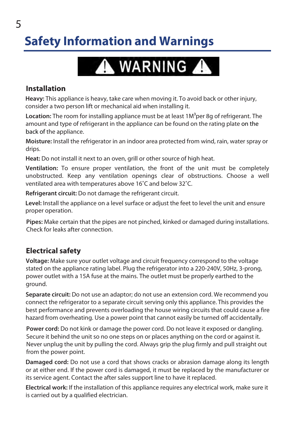## **Safety Information and Warnings**



### **Installation**

**Heavy:** This appliance is heavy, take care when moving it. To avoid back or other injury, consider a two person lift or mechanical aid when installing it.

Location: The room for installing appliance must be at least 1M<sup>3</sup>per 8g of refrigerant. The amount and type of refrigerant in the appliance can be found on the rating plate on the back of the appliance.

**Moisture:** Install the refrigerator in an indoor area protected from wind, rain, water spray or drips.

**Heat:** Do not install it next to an oven, grill or other source of high heat.

**Ventilation:** To ensure proper ventilation, the front of the unit must be completely unobstructed. Keep any ventilation openings clear of obstructions. Choose a well ventilated area with temperatures above 16˚C and below 32˚C.

**Refrigerant circuit:** Do not damage the refrigerant circuit.

**Level:** Install the appliance on a level surface or adjust the feet to level the unit and ensure proper operation.

**Pipes:** Make certain that the pipes are not pinched, kinked or damaged during installations. Check for leaks after connection.

### **Electrical safety**

**Voltage:** Make sure your outlet voltage and circuit frequency correspond to the voltage stated on the appliance rating label. Plug the refrigerator into a 220-240V, 50Hz, 3-prong, power outlet with a 15A fuse at the mains. The outlet must be properly earthed to the ground.

**Separate circuit:** Do not use an adaptor; do not use an extension cord. We recommend you connect the refrigerator to a separate circuit serving only this appliance. This provides the best performance and prevents overloading the house wiring circuits that could cause a fire hazard from overheating. Use a power point that cannot easily be turned off accidentally.

**Power cord:** Do not kink or damage the power cord. Do not leave it exposed or dangling. Secure it behind the unit so no one steps on or places anything on the cord or against it. Never unplug the unit by pulling the cord. Always grip the plug firmly and pull straight out from the power point.

**Damaged cord:** Do not use a cord that shows cracks or abrasion damage along its length or at either end. If the power cord is damaged, it must be replaced by the manufacturer or its service agent. Contact the after sales support line to have it replaced.

**Electrical work:** If the installation of this appliance requires any electrical work, make sure it is carried out by a qualified electrician.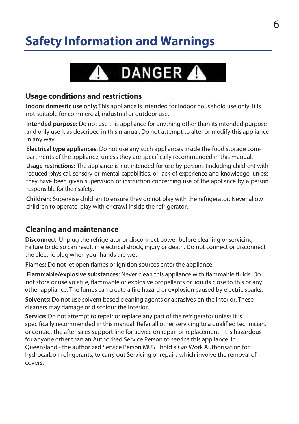## **Safety Information and Warnings**



#### **Usage conditions and restrictions**

**Indoor domestic use only:** This appliance is intended for indoor household use only. It is not suitable for commercial, industrial or outdoor use.

**Intended purpose:** Do not use this appliance for anything other than its intended purpose and only use it as described in this manual. Do not attempt to alter or modify this appliance in any way.

**Electrical type appliances:** Do not use any such appliances inside the food storage compartments of the appliance, unless they are specifically recommended in this manual.

**Usage restrictions:** The appliance is not intended for use by persons (including children) with reduced physical, sensory or mental capabilities, or lack of experience and knowledge, unless they have been given supervision or instruction concerning use of the appliance by a person responsible for their safety.

**Children:** Supervise children to ensure they do not play with the refrigerator. Never allow children to operate, play with or crawl inside the refrigerator.

### **Cleaning and maintenance**

**Disconnect:** Unplug the refrigerator or disconnect power before cleaning or servicing Failure to do so can result in electrical shock, injury or death. Do not connect or disconnect the electric plug when your hands are wet.

**Flames:** Do not let open flames or ignition sources enter the appliance.

**Flammable/explosive substances:** Never clean this appliance with flammable fluids. Do not store or use volatile, flammable or explosive propellants or liquids close to this or any other appliance. The fumes can create a fire hazard or explosion caused by electric sparks.

**Solvents:** Do not use solvent based cleaning agents or abrasives on the interior. These cleaners may damage or discolour the interior.

**Service:** Do not attempt to repair or replace any part of the refrigerator unless it is specifically recommended in this manual. Refer all other servicing to a qualified technician, or contact the after sales support line for advice on repair or replacement. It is hazardous for anyone other than an Authorised Service Person to service this appliance. In Queensland - the authorized Service Person MUST hold a Gas Work Authorisation for hydrocarbon refrigerants, to carry out Servicing or repairs which involve the removal of covers.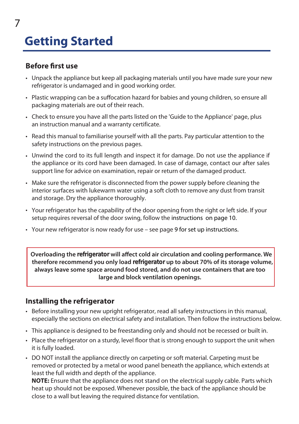# **Getting Started**

### **Before first use**

7

- Unpack the appliance but keep all packaging materials until you have made sure your new refrigerator is undamaged and in good working order.
- Plastic wrapping can be a suffocation hazard for babies and young children, so ensure all packaging materials are out of their reach.
- Check to ensure you have all the parts listed on the 'Guide to the Appliance' page, plus an instruction manual and a warranty certificate.
- Read this manual to familiarise yourself with all the parts. Pay particular attention to the safety instructions on the previous pages.
- Unwind the cord to its full length and inspect it for damage. Do not use the appliance if the appliance or its cord have been damaged. In case of damage, contact our after sales support line for advice on examination, repair or return of the damaged product.
- Make sure the refrigerator is disconnected from the power supply before cleaning the interior surfaces with lukewarm water using a soft cloth to remove any dust from transit and storage. Dry the appliance thoroughly.
- Your refrigerator has the capability of the door opening from the right or left side. If your setup requires reversal of the door swing, follow the instructions on page 10.
- Your new refrigerator is now ready for use see page 9 for set up instructions.

**Overloading the refrigerator will affect cold air circulation and cooling performance. We therefore recommend you only load refrigerator up to about 70% of its storage volume, always leave some space around food stored, and do not use containers that are too large and block ventilation openings.** 

### **Installing the refrigerator**

- Before installing your new upright refrigerator, read all safety instructions in this manual, especially the sections on electrical safety and installation. Then follow the instructions below.
- This appliance is designed to be freestanding only and should not be recessed or built in.
- Place the refrigerator on a sturdy, level floor that is strong enough to support the unit when it is fully loaded.
- DO NOT install the appliance directly on carpeting or soft material. Carpeting must be removed or protected by a metal or wood panel beneath the appliance, which extends at least the full width and depth of the appliance.

**NOTE:** Ensure that the appliance does not stand on the electrical supply cable. Parts which heat up should not be exposed. Whenever possible, the back of the appliance should be close to a wall but leaving the required distance for ventilation.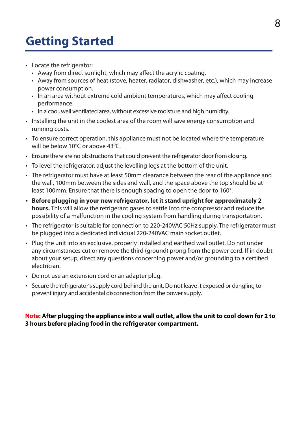## **Getting Started**

- Locate the refrigerator:
	- Away from direct sunlight, which may affect the acrylic coating.
	- Away from sources of heat (stove, heater, radiator, dishwasher, etc.), which may increase power consumption.
	- In an area without extreme cold ambient temperatures, which may affect cooling performance.
	- In a cool, well ventilated area, without excessive moisture and high humidity.
- Installing the unit in the coolest area of the room will save energy consumption and running costs.
- To ensure correct operation, this appliance must not be located where the temperature will be below 10°C or above 43°C.
- Ensure there are no obstructions that could prevent the refrigerator door from closing.
- To level the refrigerator, adjust the levelling legs at the bottom of the unit.
- The refrigerator must have at least 50mm clearance between the rear of the appliance and the wall, 100mm between the sides and wall, and the space above the top should be at least 100mm. Ensure that there is enough spacing to open the door to 160°.
- **• Before plugging in your new refrigerator, let it stand upright for approximately 2 hours.** This will allow the refrigerant gases to settle into the compressor and reduce the possibility of a malfunction in the cooling system from handling during transportation.
- The refrigerator is suitable for connection to 220-240VAC 50Hz supply. The refrigerator must be plugged into a dedicated individual 220-240VAC main socket outlet.
- Plug the unit into an exclusive, properly installed and earthed wall outlet. Do not under any circumstances cut or remove the third (ground) prong from the power cord. If in doubt about your setup, direct any questions concerning power and/or grounding to a certified electrician.
- Do not use an extension cord or an adapter plug.
- Secure the refrigerator's supply cord behind the unit. Do not leave it exposed or dangling to prevent injury and accidental disconnection from the power supply.

#### **Note: After plugging the appliance into a wall outlet, allow the unit to cool down for 2 to 3 hours before placing food in the refrigerator compartment.**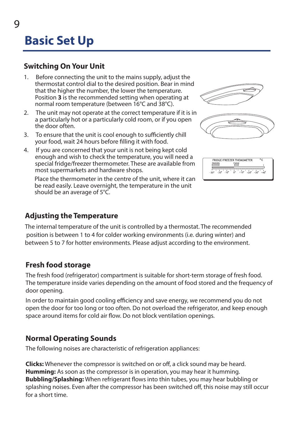## **Basic Set Up**

### **Switching On Your Unit**

- 1. Before connecting the unit to the mains supply, adjust the thermostat control dial to the desired position. Bear in mind that the higher the number, the lower the temperature. Position **3** is the recommended setting when operating at normal room temperature (between 16°C and 38°C).
- 2. The unit may not operate at the correct temperature if it is in a particularly hot or a particularly cold room, or if you open the door often.
- 3. To ensure that the unit is cool enough to sufficiently chill your food, wait 24 hours before filling it with food.
- 4. If you are concerned that your unit is not being kept cold enough and wish to check the temperature, you will need a special fridge/freezer thermometer. These are available from most supermarkets and hardware shops.

Place the thermometer in the centre of the unit, where it can be read easily. Leave overnight, the temperature in the unit should be an average of 5°C.





| <b>FREEZER</b><br><b>FRIDGE</b> | FRIDGE/FREEZER THEMOMETER |  |
|---------------------------------|---------------------------|--|
|                                 |                           |  |
|                                 |                           |  |

### **Adjusting the Temperature**

The internal temperature of the unit is controlled by a thermostat. The recommended position is between 1 to 4 for colder working environments (i.e. during winter) and between 5 to 7 for hotter environments. Please adjust according to the environment.

### **Fresh food storage**

The fresh food (refrigerator) compartment is suitable for short-term storage of fresh food. The temperature inside varies depending on the amount of food stored and the frequency of door opening.

In order to maintain good cooling efficiency and save energy, we recommend you do not open the door for too long or too often. Do not overload the refrigerator, and keep enough space around items for cold air flow. Do not block ventilation openings.

### **Normal Operating Sounds**

The following noises are characteristic of refrigeration appliances:

**Clicks:** Whenever the compressor is switched on or off, a click sound may be heard. **Humming:** As soon as the compressor is in operation, you may hear it humming. **Bubbling/Splashing:** When refrigerant flows into thin tubes, you may hear bubbling or splashing noises. Even after the compressor has been switched off, this noise may still occur for a short time.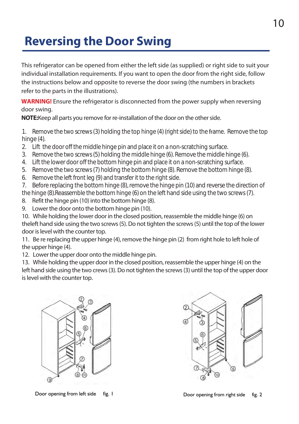### **Reversing the Door Swing**

This refrigerator can be opened from either the left side (as supplied) or right side to suit your individual installation requirements. If you want to open the door from the right side, follow the instructions below and opposite to reverse the door swing (the numbers in brackets refer to the parts in the illustrations).

**WARNING!** Ensure the refrigerator is disconnected from the power supply when reversing door swing.

**NOTE:** Keep all parts you remove for re-installation of the door on the other side.

1. Remove the two screws (3) holding the top hinge (4) (right side) to the frame. Remove the top hinge (4).

- 2. Lift the door off the middle hinge pin and place it on a non-scratching surface.
- 3. Remove the two screws (5) holding the middle hinge (6). Remove the middle hinge (6).
- 4. Lift the lower door off the bottom hinge pin and place it on a non-scratching surface.
- 5. Remove the two screws (7) holding the bottom hinge (8). Remove the bottom hinge (8).
- 6. Remove the left front leg (9) and transfer it to the right side.
- 7. Before replacing the bottom hinge (8), remove the hinge pin (10) and reverse the direction of
- the hinge (8).Reassemble the bottom hinge (6) on the left hand side using the two screws (7).
- 8. Refit the hinge pin (10) into the bottom hinge (8).
- 9. Lower the door onto the bottom hinge pin (10).

10. While holding the lower door in the closed position, reassemble the middle hinge (6) on theleft hand side using the two screws (5). Do not tighten the screws (5) until the top of the lower door is level with the counter top.

11. Be re replacing the upper hinge (4), remove the hinge pin (2) from right hole to left hole of the upper hinge (4).

12. Lower the upper door onto the middle hinge pin.

13. While holding the upper door in the closed position, reassemble the upper hinge (4) on the left hand side using the two crews (3). Do not tighten the screws (3) until the top of the upper door is level with the counter top.





Door opening from left side fig. 1 Door opening from right side fig. 2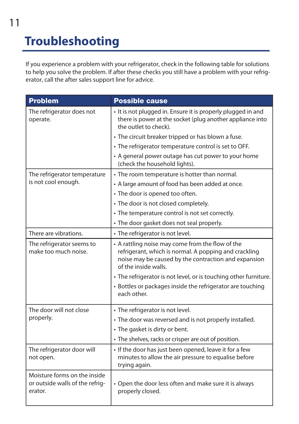# **Troubleshooting**

If you experience a problem with your refrigerator, check in the following table for solutions to help you solve the problem. If after these checks you still have a problem with your refrigerator, call the after sales support line for advice.

| <b>Problem</b>                                                             | <b>Possible cause</b>                                                                                                                                                                     |
|----------------------------------------------------------------------------|-------------------------------------------------------------------------------------------------------------------------------------------------------------------------------------------|
| The refrigerator does not<br>operate.                                      | • It is not plugged in. Ensure it is properly plugged in and<br>there is power at the socket (plug another appliance into<br>the outlet to check).                                        |
|                                                                            | • The circuit breaker tripped or has blown a fuse.                                                                                                                                        |
|                                                                            | • The refrigerator temperature control is set to OFF.                                                                                                                                     |
|                                                                            | • A general power outage has cut power to your home<br>(check the household lights).                                                                                                      |
| The refrigerator temperature                                               | • The room temperature is hotter than normal.                                                                                                                                             |
| is not cool enough.                                                        | • A large amount of food has been added at once.                                                                                                                                          |
|                                                                            | • The door is opened too often.                                                                                                                                                           |
|                                                                            | • The door is not closed completely.                                                                                                                                                      |
|                                                                            | • The temperature control is not set correctly.                                                                                                                                           |
|                                                                            | • The door gasket does not seal properly.                                                                                                                                                 |
| There are vibrations.                                                      | • The refrigerator is not level.                                                                                                                                                          |
| The refrigerator seems to<br>make too much noise.                          | • A rattling noise may come from the flow of the<br>refrigerant, which is normal. A popping and crackling<br>noise may be caused by the contraction and expansion<br>of the inside walls. |
|                                                                            | • The refrigerator is not level, or is touching other furniture.                                                                                                                          |
|                                                                            | • Bottles or packages inside the refrigerator are touching<br>each other.                                                                                                                 |
| The door will not close<br>properly.                                       | • The refrigerator is not level.                                                                                                                                                          |
|                                                                            | • The door was reversed and is not properly installed.                                                                                                                                    |
|                                                                            | • The gasket is dirty or bent.                                                                                                                                                            |
|                                                                            | • The shelves, racks or crisper are out of position.                                                                                                                                      |
| The refrigerator door will<br>not open.                                    | • If the door has just been opened, leave it for a few<br>minutes to allow the air pressure to equalise before<br>trying again.                                                           |
| Moisture forms on the inside<br>or outside walls of the refrig-<br>erator. | • Open the door less often and make sure it is always<br>properly closed.                                                                                                                 |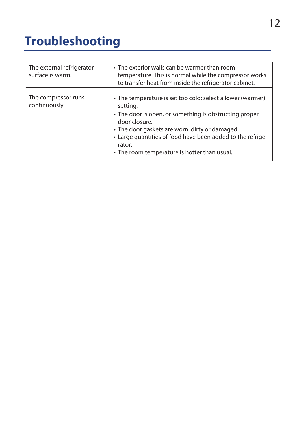## **Troubleshooting**

| The external refrigerator<br>surface is warm. | • The exterior walls can be warmer than room<br>temperature. This is normal while the compressor works<br>to transfer heat from inside the refrigerator cabinet.                                                                                                                                                            |
|-----------------------------------------------|-----------------------------------------------------------------------------------------------------------------------------------------------------------------------------------------------------------------------------------------------------------------------------------------------------------------------------|
| The compressor runs<br>continuously.          | • The temperature is set too cold: select a lower (warmer)<br>setting.<br>• The door is open, or something is obstructing proper<br>door closure.<br>• The door gaskets are worn, dirty or damaged.<br>• Large quantities of food have been added to the refrige-<br>rator.<br>• The room temperature is hotter than usual. |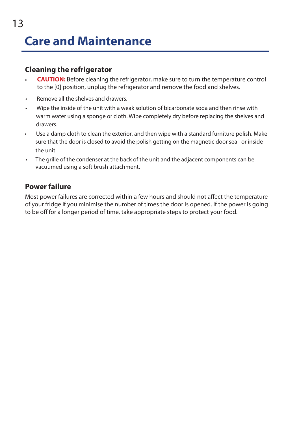### **Cleaning the refrigerator**

- **CAUTION:** Before cleaning the refrigerator, make sure to turn the temperature control to the [0] position, unplug the refrigerator and remove the food and shelves.
- Remove all the shelves and drawers.
- Wipe the inside of the unit with a weak solution of bicarbonate soda and then rinse with warm water using a sponge or cloth. Wipe completely dry before replacing the shelves and drawers.
- • Use a damp cloth to clean the exterior, and then wipe with a standard furniture polish. Make sure that the door is closed to avoid the polish getting on the magnetic door seal or inside the unit.
- The grille of the condenser at the back of the unit and the adjacent components can be vacuumed using a soft brush attachment.

### **Power failure**

Most power failures are corrected within a few hours and should not affect the temperature of your fridge if you minimise the number of times the door is opened. If the power is going to be off for a longer period of time, take appropriate steps to protect your food.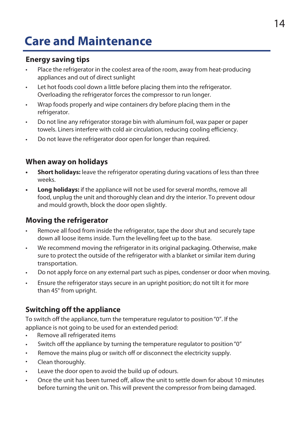### **Care and Maintenance**

### **Energy saving tips**

- Place the refrigerator in the coolest area of the room, away from heat-producing appliances and out of direct sunlight
- Let hot foods cool down a little before placing them into the refrigerator. Overloading the refrigerator forces the compressor to run longer.
- Wrap foods properly and wipe containers dry before placing them in the refrigerator.
- Do not line any refrigerator storage bin with aluminum foil, wax paper or paper towels. Liners interfere with cold air circulation, reducing cooling efficiency.
- Do not leave the refrigerator door open for longer than required.

### **When away on holidays**

- **•• Short holidays:** leave the refrigerator operating during vacations of less than three weeks.
- **• Long holidays:** if the appliance will not be used for several months, remove all food, unplug the unit and thoroughly clean and dry the interior. To prevent odour and mould growth, block the door open slightly.

### **Moving the refrigerator**

- Remove all food from inside the refrigerator, tape the door shut and securely tape down all loose items inside. Turn the levelling feet up to the base.
- We recommend moving the refrigerator in its original packaging. Otherwise, make sure to protect the outside of the refrigerator with a blanket or similar item during transportation.
- Do not apply force on any external part such as pipes, condenser or door when moving.
- Ensure the refrigerator stays secure in an upright position; do not tilt it for more than 45° from upright.

### **Switching off the appliance**

To switch off the appliance, turn the temperature regulator to position "0". If the appliance is not going to be used for an extended period:

- Remove all refrigerated items
- Switch off the appliance by turning the temperature regulator to position "0"
- Remove the mains plug or switch off or disconnect the electricity supply.
- Clean thoroughly.
- Leave the door open to avoid the build up of odours.
- Once the unit has been turned off, allow the unit to settle down for about 10 minutes before turning the unit on. This will prevent the compressor from being damaged.